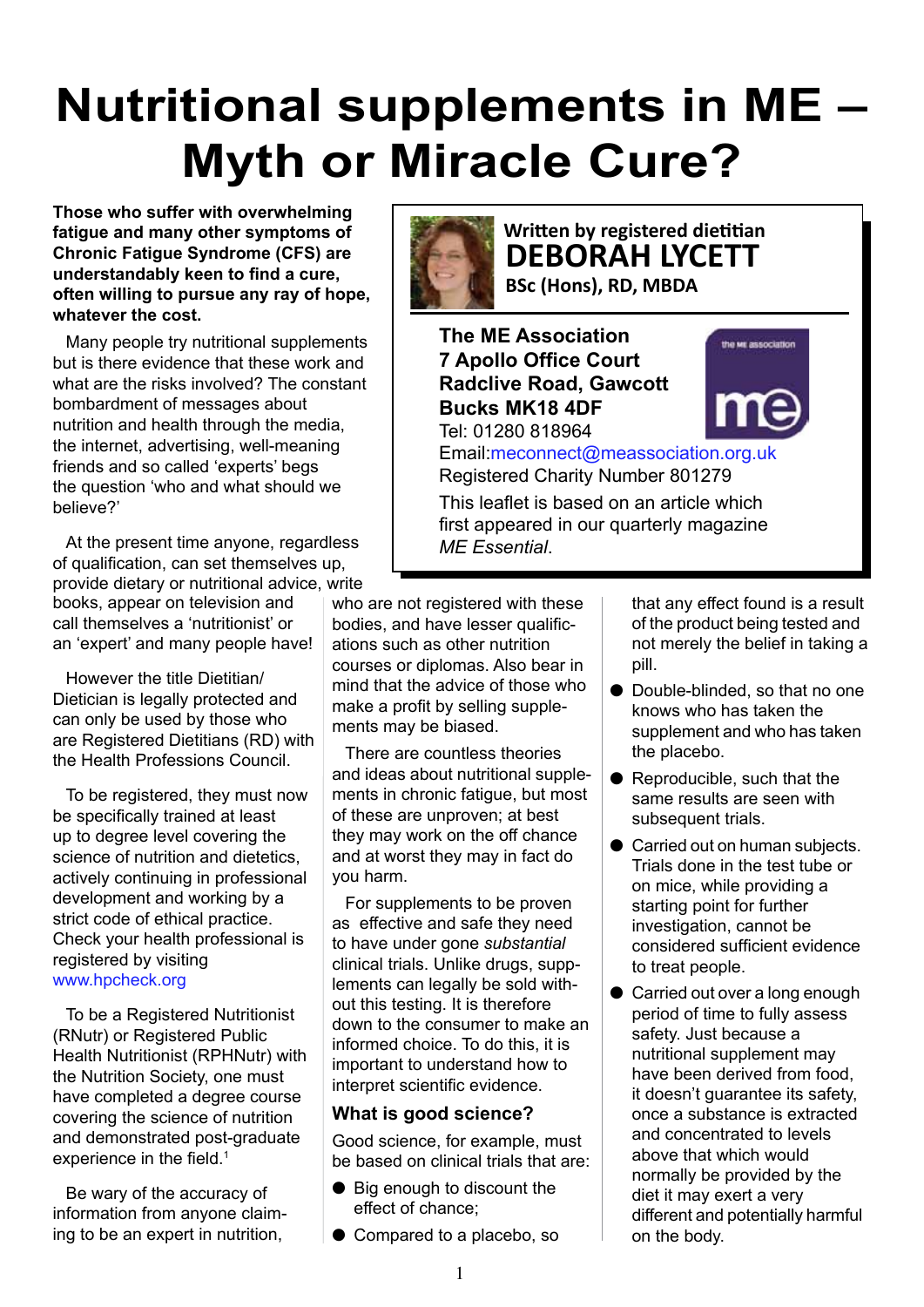# **Nutritional supplements in ME – Myth or Miracle Cure?**

**Those who suffer with overwhelming fatigue and many other symptoms of Chronic Fatigue Syndrome (CFS) are**  understandably keen to find a cure. often willing to pursue any ray of hope, **whatever the cost.** 

Many people try nutritional supplements but is there evidence that these work and what are the risks involved? The constant bombardment of messages about nutrition and health through the media, the internet, advertising, well-meaning friends and so called 'experts' begs the question 'who and what should we believe?'

At the present time anyone, regardless of qualification, can set themselves up, provide dietary or nutritional advice, write books, appear on television and call themselves a 'nutritionist' or an 'expert' and many people have!

However the title Dietitian/ Dietician is legally protected and can only be used by those who are Registered Dietitians (RD) with the Health Professions Council.

To be registered, they must now be specifically trained at least up to degree level covering the science of nutrition and dietetics, actively continuing in professional development and working by a strict code of ethical practice. Check your health professional is registered by visiting www.hpcheck.org

To be a Registered Nutritionist (RNutr) or Registered Public Health Nutritionist (RPHNutr) with the Nutrition Society, one must have completed a degree course covering the science of nutrition and demonstrated post-graduate experience in the field. $1$ 

Be wary of the accuracy of information from anyone claiming to be an expert in nutrition,



# **Written by registered dietitian DEBORAH LYCETT**

**BSc (Hons), RD, MBDA** 

**The ME Association 7 Apollo Office Court Radclive Road, Gawcott Bucks MK18 4DF** Tel: 01280 818964

Email:meconnect@meassociation.org.uk Registered Charity Number 801279

This leaflet is based on an article which first appeared in our quarterly magazine *ME Essential*.

who are not registered with these bodies, and have lesser qualifications such as other nutrition courses or diplomas. Also bear in mind that the advice of those who make a profit by selling supplements may be biased.

There are countless theories and ideas about nutritional supplements in chronic fatigue, but most of these are unproven; at best they may work on the off chance and at worst they may in fact do you harm.

For supplements to be proven as effective and safe they need to have under gone *substantial* clinical trials. Unlike drugs, supplements can legally be sold without this testing. It is therefore down to the consumer to make an informed choice. To do this, it is important to understand how to interpret scientific evidence.

### **What is good science?**

Good science, for example, must be based on clinical trials that are:

- Big enough to discount the effect of chance;
- $\bullet$  Compared to a placebo, so

that any effect found is a result of the product being tested and not merely the belief in taking a pill.

- Double-blinded, so that no one knows who has taken the supplement and who has taken the placebo.
- Reproducible, such that the same results are seen with subsequent trials.
- Carried out on human subjects. Trials done in the test tube or on mice, while providing a starting point for further investigation, cannot be considered sufficient evidence to treat people.
- Carried out over a long enough period of time to fully assess safety. Just because a nutritional supplement may have been derived from food, it doesn't guarantee its safety, once a substance is extracted and concentrated to levels above that which would normally be provided by the diet it may exert a very different and potentially harmful on the body.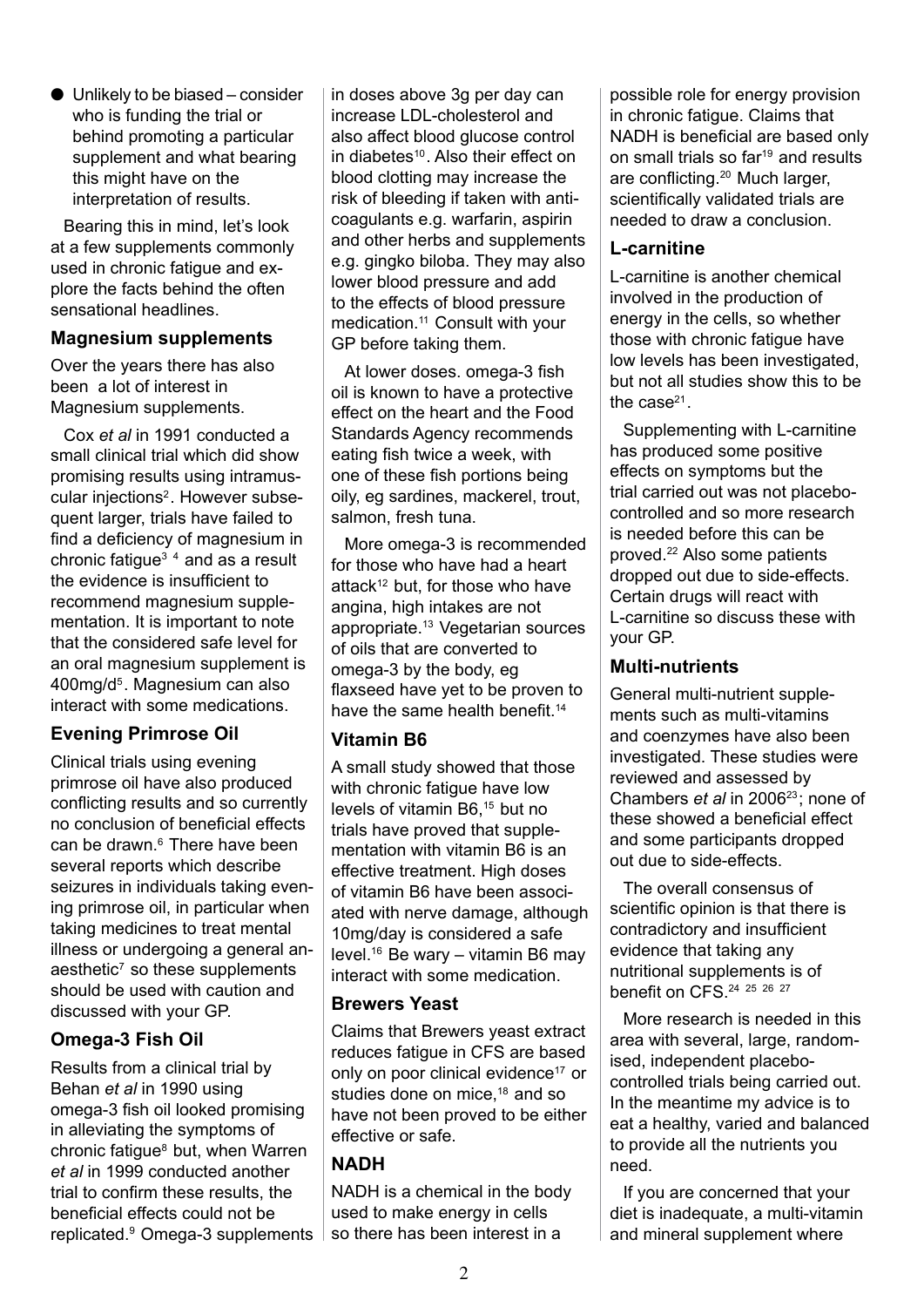$\bullet$  Unlikely to be biased – consider who is funding the trial or behind promoting a particular supplement and what bearing this might have on the interpretation of results.

Bearing this in mind, let's look at a few supplements commonly used in chronic fatigue and explore the facts behind the often sensational headlines.

#### **Magnesium supplements**

Over the years there has also been a lot of interest in Magnesium supplements.

Cox *et al* in 1991 conducted a small clinical trial which did show promising results using intramuscular injections<sup>2</sup>. However subsequent larger, trials have failed to find a deficiency of magnesium in chronic fatigue<sup> $3/4$ </sup> and as a result the evidence is insufficient to recommend magnesium supplementation. It is important to note that the considered safe level for an oral magnesium supplement is 400mg/d5. Magnesium can also interact with some medications.

# **Evening Primrose Oil**

Clinical trials using evening primrose oil have also produced conflicting results and so currently no conclusion of beneficial effects can be drawn.<sup>6</sup> There have been several reports which describe seizures in individuals taking evening primrose oil, in particular when taking medicines to treat mental illness or undergoing a general anaesthetic<sup>7</sup> so these supplements should be used with caution and discussed with your GP.

# **Omega-3 Fish Oil**

Results from a clinical trial by Behan *et al* in 1990 using omega-3 fish oil looked promising in alleviating the symptoms of chronic fatigue<sup>8</sup> but, when Warren *et al* in 1999 conducted another trial to confirm these results, the beneficial effects could not be replicated.9 Omega-3 supplements in doses above 3g per day can increase LDL-cholesterol and also affect blood glucose control in diabetes<sup>10</sup>. Also their effect on blood clotting may increase the risk of bleeding if taken with anticoagulants e.g. warfarin, aspirin and other herbs and supplements e.g. gingko biloba. They may also lower blood pressure and add to the effects of blood pressure medication.11 Consult with your GP before taking them.

At lower doses, omega-3 fish oil is known to have a protective effect on the heart and the Food Standards Agency recommends eating fish twice a week, with one of these fish portions being oily, eg sardines, mackerel, trout, salmon, fresh tuna.

More omega-3 is recommended for those who have had a heart attack<sup>12</sup> but, for those who have angina, high intakes are not appropriate.13 Vegetarian sources of oils that are converted to omega-3 by the body, eg flaxseed have yet to be proven to have the same health benefit.<sup>14</sup>

### **Vitamin B6**

A small study showed that those with chronic fatigue have low levels of vitamin B6,15 but no trials have proved that supplementation with vitamin B6 is an effective treatment. High doses of vitamin B6 have been associated with nerve damage, although 10mg/day is considered a safe level.16 Be wary – vitamin B6 may interact with some medication.

#### **Brewers Yeast**

Claims that Brewers yeast extract reduces fatigue in CFS are based only on poor clinical evidence<sup>17</sup> or studies done on mice,<sup>18</sup> and so have not been proved to be either effective or safe.

### **NADH**

NADH is a chemical in the body used to make energy in cells so there has been interest in a

possible role for energy provision in chronic fatigue. Claims that NADH is beneficial are based only on small trials so far<sup>19</sup> and results are conflicting.<sup>20</sup> Much larger, scientifically validated trials are needed to draw a conclusion.

#### **L-carnitine**

L-carnitine is another chemical involved in the production of energy in the cells, so whether those with chronic fatigue have low levels has been investigated, but not all studies show this to be the case $21$ .

Supplementing with L-carnitine has produced some positive effects on symptoms but the trial carried out was not placebocontrolled and so more research is needed before this can be proved.22 Also some patients dropped out due to side-effects. Certain drugs will react with L-carnitine so discuss these with your GP.

#### **Multi-nutrients**

General multi-nutrient supplements such as multi-vitamins and coenzymes have also been investigated. These studies were reviewed and assessed by Chambers *et al* in 200623; none of these showed a beneficial effect and some participants dropped out due to side-effects.

The overall consensus of scientific opinion is that there is contradictory and insufficient evidence that taking any nutritional supplements is of benefit on CFS.<sup>24</sup> <sup>25</sup> <sup>26</sup> <sup>27</sup>

More research is needed in this area with several, large, randomised, independent placebocontrolled trials being carried out. In the meantime my advice is to eat a healthy, varied and balanced to provide all the nutrients you need.

If you are concerned that your diet is inadequate, a multi-vitamin and mineral supplement where